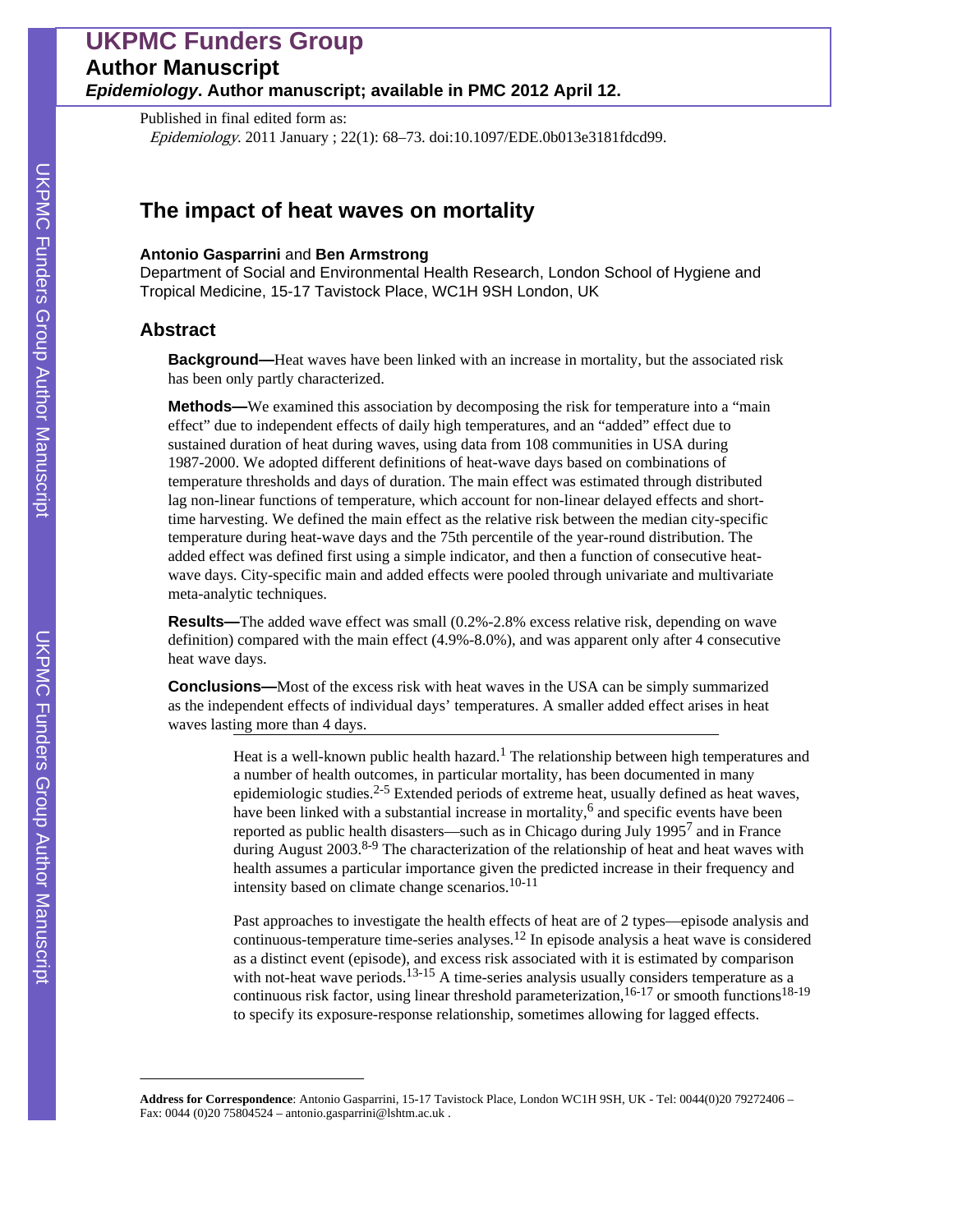# **UKPMC Funders Group Author Manuscript** *Epidemiology***. Author manuscript; available in PMC 2012 April 12.**

Published in final edited form as: Epidemiology. 2011 January ; 22(1): 68–73. doi:10.1097/EDE.0b013e3181fdcd99.

# **The impact of heat waves on mortality**

#### **Antonio Gasparrini** and **Ben Armstrong**

Department of Social and Environmental Health Research, London School of Hygiene and Tropical Medicine, 15-17 Tavistock Place, WC1H 9SH London, UK

## **Abstract**

**Background—**Heat waves have been linked with an increase in mortality, but the associated risk has been only partly characterized.

**Methods—**We examined this association by decomposing the risk for temperature into a "main effect" due to independent effects of daily high temperatures, and an "added" effect due to sustained duration of heat during waves, using data from 108 communities in USA during 1987-2000. We adopted different definitions of heat-wave days based on combinations of temperature thresholds and days of duration. The main effect was estimated through distributed lag non-linear functions of temperature, which account for non-linear delayed effects and shorttime harvesting. We defined the main effect as the relative risk between the median city-specific temperature during heat-wave days and the 75th percentile of the year-round distribution. The added effect was defined first using a simple indicator, and then a function of consecutive heatwave days. City-specific main and added effects were pooled through univariate and multivariate meta-analytic techniques.

**Results—**The added wave effect was small (0.2%-2.8% excess relative risk, depending on wave definition) compared with the main effect (4.9%-8.0%), and was apparent only after 4 consecutive heat wave days.

**Conclusions—**Most of the excess risk with heat waves in the USA can be simply summarized as the independent effects of individual days' temperatures. A smaller added effect arises in heat waves lasting more than 4 days.

> Heat is a well-known public health hazard.<sup>1</sup> The relationship between high temperatures and a number of health outcomes, in particular mortality, has been documented in many epidemiologic studies.<sup>2-5</sup> Extended periods of extreme heat, usually defined as heat waves, have been linked with a substantial increase in mortality,<sup>6</sup> and specific events have been reported as public health disasters—such as in Chicago during July 1995<sup>7</sup> and in France during August  $2003$ <sup>8-9</sup> The characterization of the relationship of heat and heat waves with health assumes a particular importance given the predicted increase in their frequency and intensity based on climate change scenarios.10-11

> Past approaches to investigate the health effects of heat are of 2 types—episode analysis and continuous-temperature time-series analyses.12 In episode analysis a heat wave is considered as a distinct event (episode), and excess risk associated with it is estimated by comparison with not-heat wave periods.<sup>13-15</sup> A time-series analysis usually considers temperature as a continuous risk factor, using linear threshold parameterization,  $16-17$  or smooth functions  $18-19$ to specify its exposure-response relationship, sometimes allowing for lagged effects.

**Address for Correspondence**: Antonio Gasparrini, 15-17 Tavistock Place, London WC1H 9SH, UK - Tel: 0044(0)20 79272406 – Fax: 0044 (0)20 75804524 – antonio.gasparrini@lshtm.ac.uk .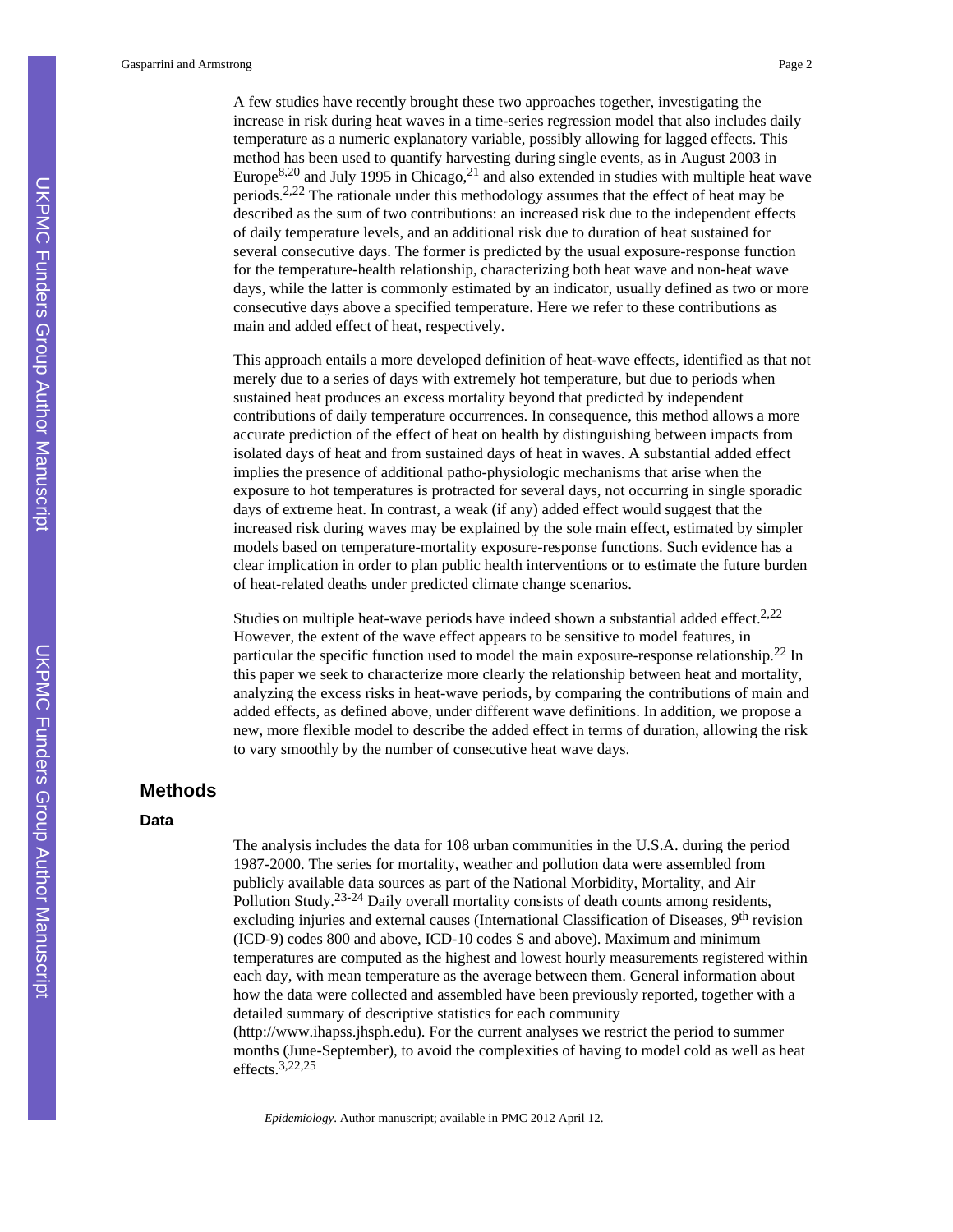Gasparrini and Armstrong Page 2

A few studies have recently brought these two approaches together, investigating the increase in risk during heat waves in a time-series regression model that also includes daily temperature as a numeric explanatory variable, possibly allowing for lagged effects. This method has been used to quantify harvesting during single events, as in August 2003 in Europe $8,20$  and July 1995 in Chicago, $21$  and also extended in studies with multiple heat wave periods.2,22 The rationale under this methodology assumes that the effect of heat may be described as the sum of two contributions: an increased risk due to the independent effects of daily temperature levels, and an additional risk due to duration of heat sustained for several consecutive days. The former is predicted by the usual exposure-response function for the temperature-health relationship, characterizing both heat wave and non-heat wave days, while the latter is commonly estimated by an indicator, usually defined as two or more consecutive days above a specified temperature. Here we refer to these contributions as main and added effect of heat, respectively.

This approach entails a more developed definition of heat-wave effects, identified as that not merely due to a series of days with extremely hot temperature, but due to periods when sustained heat produces an excess mortality beyond that predicted by independent contributions of daily temperature occurrences. In consequence, this method allows a more accurate prediction of the effect of heat on health by distinguishing between impacts from isolated days of heat and from sustained days of heat in waves. A substantial added effect implies the presence of additional patho-physiologic mechanisms that arise when the exposure to hot temperatures is protracted for several days, not occurring in single sporadic days of extreme heat. In contrast, a weak (if any) added effect would suggest that the increased risk during waves may be explained by the sole main effect, estimated by simpler models based on temperature-mortality exposure-response functions. Such evidence has a clear implication in order to plan public health interventions or to estimate the future burden of heat-related deaths under predicted climate change scenarios.

Studies on multiple heat-wave periods have indeed shown a substantial added effect.<sup>2,22</sup> However, the extent of the wave effect appears to be sensitive to model features, in particular the specific function used to model the main exposure-response relationship.<sup>22</sup> In this paper we seek to characterize more clearly the relationship between heat and mortality, analyzing the excess risks in heat-wave periods, by comparing the contributions of main and added effects, as defined above, under different wave definitions. In addition, we propose a new, more flexible model to describe the added effect in terms of duration, allowing the risk to vary smoothly by the number of consecutive heat wave days.

### **Methods**

#### **Data**

The analysis includes the data for 108 urban communities in the U.S.A. during the period 1987-2000. The series for mortality, weather and pollution data were assembled from publicly available data sources as part of the National Morbidity, Mortality, and Air Pollution Study.<sup>23-24</sup> Daily overall mortality consists of death counts among residents, excluding injuries and external causes (International Classification of Diseases, 9<sup>th</sup> revision (ICD-9) codes 800 and above, ICD-10 codes S and above). Maximum and minimum temperatures are computed as the highest and lowest hourly measurements registered within each day, with mean temperature as the average between them. General information about how the data were collected and assembled have been previously reported, together with a detailed summary of descriptive statistics for each community [\(http://www.ihapss.jhsph.edu](http://www.ihapss.jhsph.edu)). For the current analyses we restrict the period to summer months (June-September), to avoid the complexities of having to model cold as well as heat

effects.3,22,25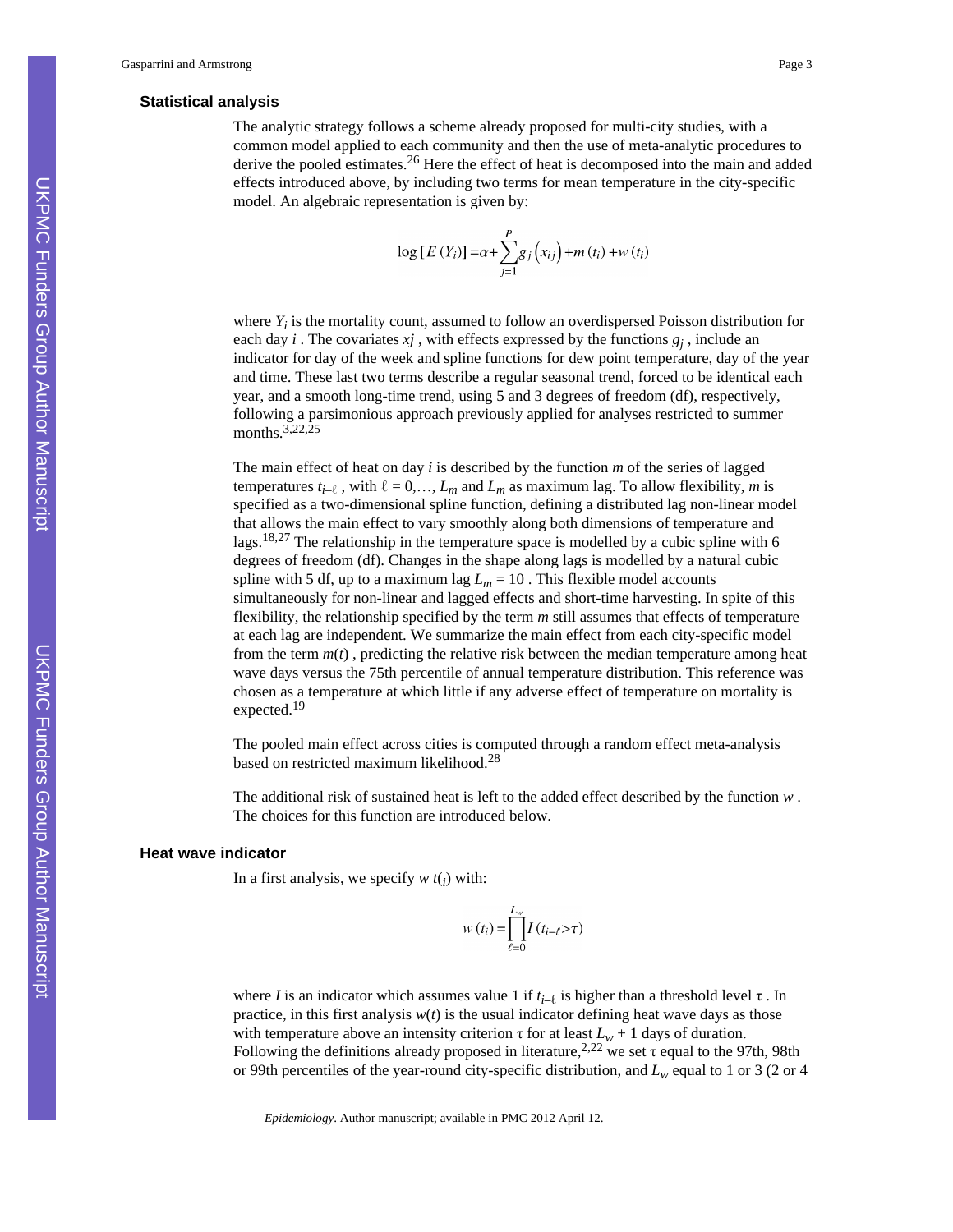#### **Statistical analysis**

The analytic strategy follows a scheme already proposed for multi-city studies, with a common model applied to each community and then the use of meta-analytic procedures to derive the pooled estimates.<sup>26</sup> Here the effect of heat is decomposed into the main and added effects introduced above, by including two terms for mean temperature in the city-specific model. An algebraic representation is given by:

$$
\log [E(Y_i)] = \alpha + \sum_{j=1}^{P} g_j(x_{ij}) + m(t_i) + w(t_i)
$$

where  $Y_i$  is the mortality count, assumed to follow an overdispersed Poisson distribution for each day *i*. The covariates  $xj$ , with effects expressed by the functions  $g_j$ , include an indicator for day of the week and spline functions for dew point temperature, day of the year and time. These last two terms describe a regular seasonal trend, forced to be identical each year, and a smooth long-time trend, using 5 and 3 degrees of freedom (df), respectively, following a parsimonious approach previously applied for analyses restricted to summer months.<sup>3,22,25</sup>

The main effect of heat on day *i* is described by the function *m* of the series of lagged temperatures  $t_{i-\ell}$ , with  $\ell = 0, \ldots, L_m$  and  $L_m$  as maximum lag. To allow flexibility, *m* is specified as a two-dimensional spline function, defining a distributed lag non-linear model that allows the main effect to vary smoothly along both dimensions of temperature and lags.<sup>18,27</sup> The relationship in the temperature space is modelled by a cubic spline with 6 degrees of freedom (df). Changes in the shape along lags is modelled by a natural cubic spline with 5 df, up to a maximum lag  $L_m = 10$ . This flexible model accounts simultaneously for non-linear and lagged effects and short-time harvesting. In spite of this flexibility, the relationship specified by the term *m* still assumes that effects of temperature at each lag are independent. We summarize the main effect from each city-specific model from the term  $m(t)$ , predicting the relative risk between the median temperature among heat wave days versus the 75th percentile of annual temperature distribution. This reference was chosen as a temperature at which little if any adverse effect of temperature on mortality is expected.<sup>19</sup>

The pooled main effect across cities is computed through a random effect meta-analysis based on restricted maximum likelihood.<sup>28</sup>

The additional risk of sustained heat is left to the added effect described by the function *w* . The choices for this function are introduced below.

#### **Heat wave indicator**

In a first analysis, we specify  $w t(i)$  with:

$$
w(t_i) = \prod_{\ell=0}^{L_w} I(t_{i-\ell} > \tau)
$$

where *I* is an indicator which assumes value 1 if  $t_{i-\ell}$  is higher than a threshold level  $\tau$ . In practice, in this first analysis  $w(t)$  is the usual indicator defining heat wave days as those with temperature above an intensity criterion  $\tau$  for at least  $L_w + 1$  days of duration. Following the definitions already proposed in literature,<sup>2,22</sup> we set  $\tau$  equal to the 97th, 98th or 99th percentiles of the year-round city-specific distribution, and *Lw* equal to 1 or 3 (2 or 4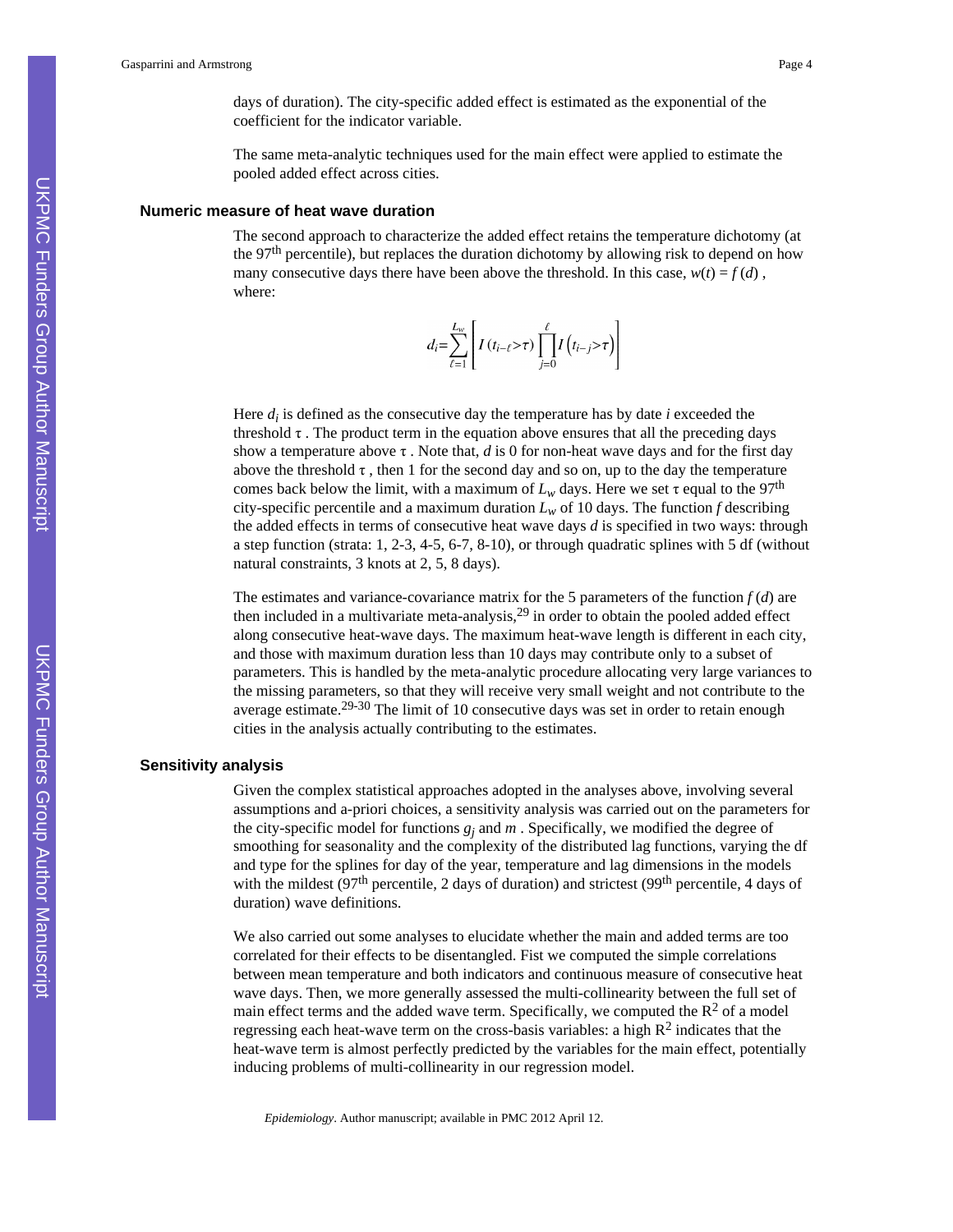days of duration). The city-specific added effect is estimated as the exponential of the coefficient for the indicator variable.

The same meta-analytic techniques used for the main effect were applied to estimate the pooled added effect across cities.

#### **Numeric measure of heat wave duration**

The second approach to characterize the added effect retains the temperature dichotomy (at the 97th percentile), but replaces the duration dichotomy by allowing risk to depend on how many consecutive days there have been above the threshold. In this case,  $w(t) = f(d)$ , where:

$$
d_i = \sum_{\ell=1}^{L_w} \left[ I(t_{i-\ell} > \tau) \prod_{j=0}^{\ell} I(t_{i-j} > \tau) \right]
$$

Here  $d_i$  is defined as the consecutive day the temperature has by date  $i$  exceeded the threshold  $\tau$ . The product term in the equation above ensures that all the preceding days show a temperature above τ . Note that, *d* is 0 for non-heat wave days and for the first day above the threshold  $\tau$ , then 1 for the second day and so on, up to the day the temperature comes back below the limit, with a maximum of  $L_w$  days. Here we set  $\tau$  equal to the 97<sup>th</sup> city-specific percentile and a maximum duration  $L<sub>w</sub>$  of 10 days. The function *f* describing the added effects in terms of consecutive heat wave days *d* is specified in two ways: through a step function (strata: 1, 2-3, 4-5, 6-7, 8-10), or through quadratic splines with 5 df (without natural constraints, 3 knots at 2, 5, 8 days).

The estimates and variance-covariance matrix for the 5 parameters of the function  $f(d)$  are then included in a multivariate meta-analysis,29 in order to obtain the pooled added effect along consecutive heat-wave days. The maximum heat-wave length is different in each city, and those with maximum duration less than 10 days may contribute only to a subset of parameters. This is handled by the meta-analytic procedure allocating very large variances to the missing parameters, so that they will receive very small weight and not contribute to the average estimate.29-30 The limit of 10 consecutive days was set in order to retain enough cities in the analysis actually contributing to the estimates.

#### **Sensitivity analysis**

Given the complex statistical approaches adopted in the analyses above, involving several assumptions and a-priori choices, a sensitivity analysis was carried out on the parameters for the city-specific model for functions  $g_j$  and  $m$ . Specifically, we modified the degree of smoothing for seasonality and the complexity of the distributed lag functions, varying the df and type for the splines for day of the year, temperature and lag dimensions in the models with the mildest ( $97<sup>th</sup>$  percentile, 2 days of duration) and strictest ( $99<sup>th</sup>$  percentile, 4 days of duration) wave definitions.

We also carried out some analyses to elucidate whether the main and added terms are too correlated for their effects to be disentangled. Fist we computed the simple correlations between mean temperature and both indicators and continuous measure of consecutive heat wave days. Then, we more generally assessed the multi-collinearity between the full set of main effect terms and the added wave term. Specifically, we computed the  $\mathbb{R}^2$  of a model regressing each heat-wave term on the cross-basis variables: a high  $\mathbb{R}^2$  indicates that the heat-wave term is almost perfectly predicted by the variables for the main effect, potentially inducing problems of multi-collinearity in our regression model.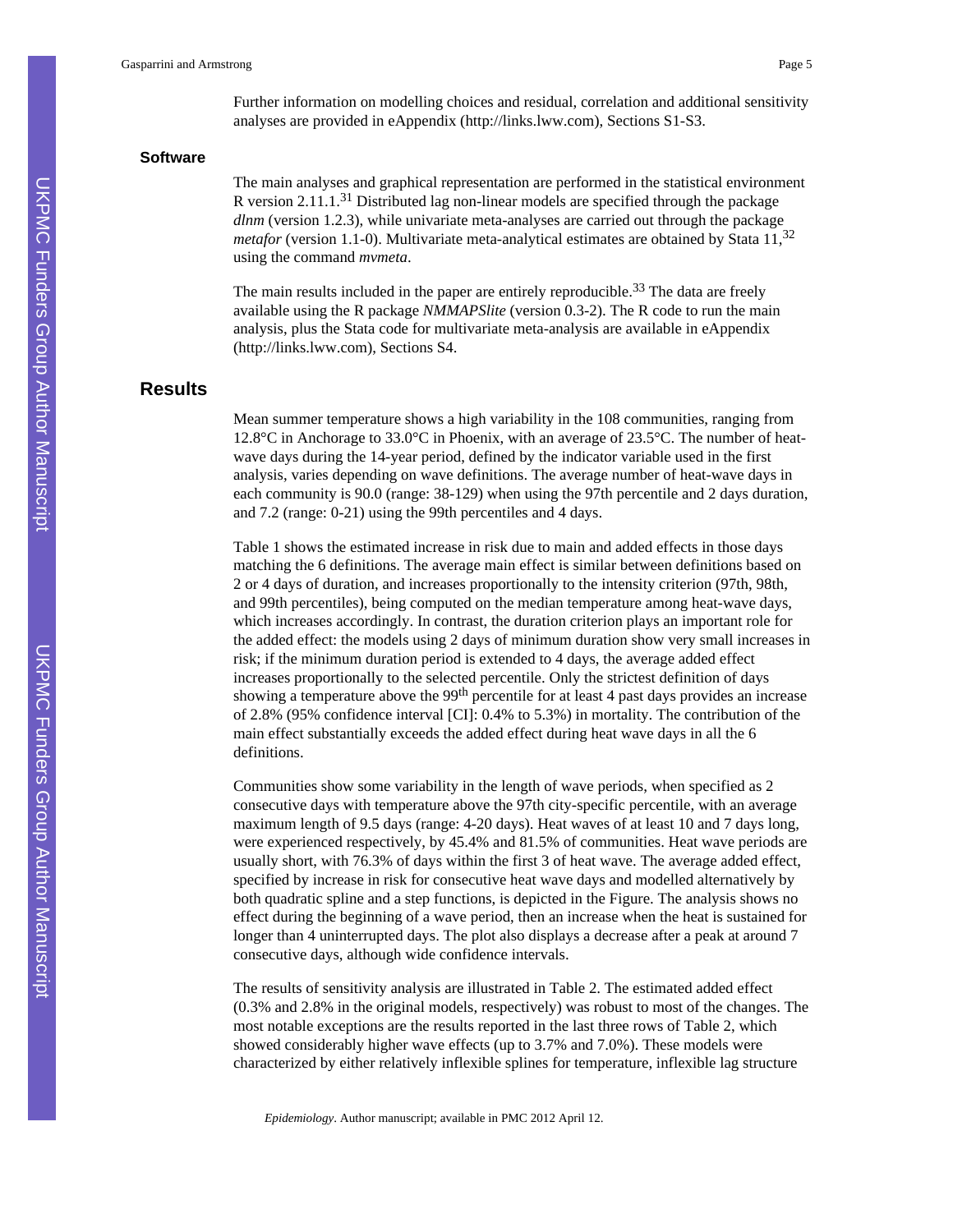#### **Software**

The main analyses and graphical representation are performed in the statistical environment R version  $2.11 \cdot 1.31$  Distributed lag non-linear models are specified through the package *dlnm* (version 1.2.3), while univariate meta-analyses are carried out through the package *metafor* (version 1.1-0). Multivariate meta-analytical estimates are obtained by Stata  $11^{32}$ using the command *mvmeta*.

The main results included in the paper are entirely reproducible.<sup>33</sup> The data are freely available using the R package *NMMAPSlite* (version 0.3-2). The R code to run the main analysis, plus the Stata code for multivariate meta-analysis are available in eAppendix [\(http://links.lww.com](http://links.lww.com)), Sections S4.

## **Results**

Mean summer temperature shows a high variability in the 108 communities, ranging from 12.8°C in Anchorage to 33.0°C in Phoenix, with an average of 23.5°C. The number of heatwave days during the 14-year period, defined by the indicator variable used in the first analysis, varies depending on wave definitions. The average number of heat-wave days in each community is 90.0 (range: 38-129) when using the 97th percentile and 2 days duration, and 7.2 (range: 0-21) using the 99th percentiles and 4 days.

Table 1 shows the estimated increase in risk due to main and added effects in those days matching the 6 definitions. The average main effect is similar between definitions based on 2 or 4 days of duration, and increases proportionally to the intensity criterion (97th, 98th, and 99th percentiles), being computed on the median temperature among heat-wave days, which increases accordingly. In contrast, the duration criterion plays an important role for the added effect: the models using 2 days of minimum duration show very small increases in risk; if the minimum duration period is extended to 4 days, the average added effect increases proportionally to the selected percentile. Only the strictest definition of days showing a temperature above the 99<sup>th</sup> percentile for at least 4 past days provides an increase of 2.8% (95% confidence interval [CI]: 0.4% to 5.3%) in mortality. The contribution of the main effect substantially exceeds the added effect during heat wave days in all the 6 definitions.

Communities show some variability in the length of wave periods, when specified as 2 consecutive days with temperature above the 97th city-specific percentile, with an average maximum length of 9.5 days (range: 4-20 days). Heat waves of at least 10 and 7 days long, were experienced respectively, by 45.4% and 81.5% of communities. Heat wave periods are usually short, with 76.3% of days within the first 3 of heat wave. The average added effect, specified by increase in risk for consecutive heat wave days and modelled alternatively by both quadratic spline and a step functions, is depicted in the Figure. The analysis shows no effect during the beginning of a wave period, then an increase when the heat is sustained for longer than 4 uninterrupted days. The plot also displays a decrease after a peak at around 7 consecutive days, although wide confidence intervals.

The results of sensitivity analysis are illustrated in Table 2. The estimated added effect (0.3% and 2.8% in the original models, respectively) was robust to most of the changes. The most notable exceptions are the results reported in the last three rows of Table 2, which showed considerably higher wave effects (up to 3.7% and 7.0%). These models were characterized by either relatively inflexible splines for temperature, inflexible lag structure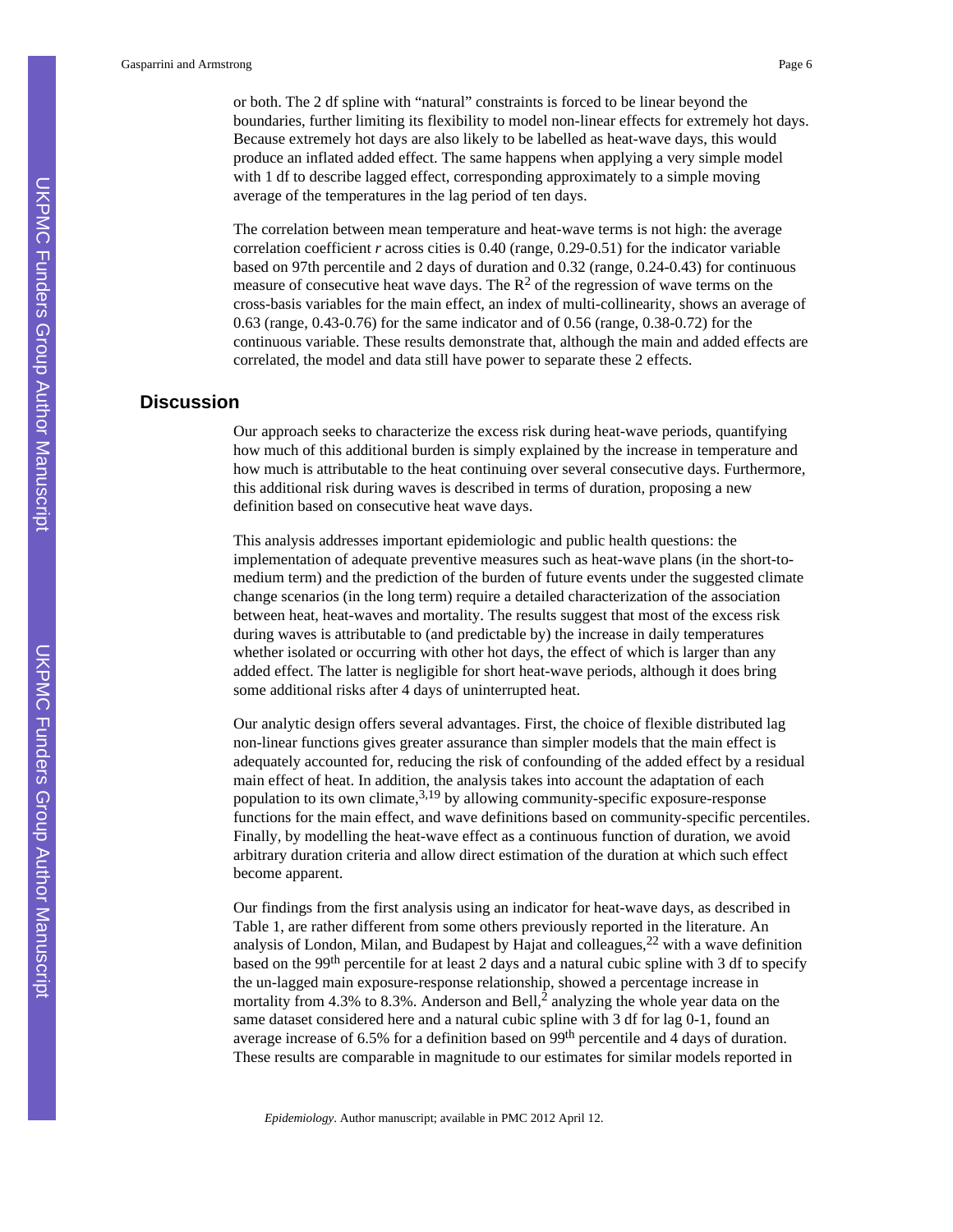or both. The 2 df spline with "natural" constraints is forced to be linear beyond the boundaries, further limiting its flexibility to model non-linear effects for extremely hot days. Because extremely hot days are also likely to be labelled as heat-wave days, this would produce an inflated added effect. The same happens when applying a very simple model with 1 df to describe lagged effect, corresponding approximately to a simple moving average of the temperatures in the lag period of ten days.

The correlation between mean temperature and heat-wave terms is not high: the average correlation coefficient *r* across cities is 0.40 (range, 0.29-0.51) for the indicator variable based on 97th percentile and 2 days of duration and 0.32 (range, 0.24-0.43) for continuous measure of consecutive heat wave days. The  $R^2$  of the regression of wave terms on the cross-basis variables for the main effect, an index of multi-collinearity, shows an average of 0.63 (range, 0.43-0.76) for the same indicator and of 0.56 (range, 0.38-0.72) for the continuous variable. These results demonstrate that, although the main and added effects are correlated, the model and data still have power to separate these 2 effects.

# **Discussion**

Our approach seeks to characterize the excess risk during heat-wave periods, quantifying how much of this additional burden is simply explained by the increase in temperature and how much is attributable to the heat continuing over several consecutive days. Furthermore, this additional risk during waves is described in terms of duration, proposing a new definition based on consecutive heat wave days.

This analysis addresses important epidemiologic and public health questions: the implementation of adequate preventive measures such as heat-wave plans (in the short-tomedium term) and the prediction of the burden of future events under the suggested climate change scenarios (in the long term) require a detailed characterization of the association between heat, heat-waves and mortality. The results suggest that most of the excess risk during waves is attributable to (and predictable by) the increase in daily temperatures whether isolated or occurring with other hot days, the effect of which is larger than any added effect. The latter is negligible for short heat-wave periods, although it does bring some additional risks after 4 days of uninterrupted heat.

Our analytic design offers several advantages. First, the choice of flexible distributed lag non-linear functions gives greater assurance than simpler models that the main effect is adequately accounted for, reducing the risk of confounding of the added effect by a residual main effect of heat. In addition, the analysis takes into account the adaptation of each population to its own climate,  $3.19$  by allowing community-specific exposure-response functions for the main effect, and wave definitions based on community-specific percentiles. Finally, by modelling the heat-wave effect as a continuous function of duration, we avoid arbitrary duration criteria and allow direct estimation of the duration at which such effect become apparent.

Our findings from the first analysis using an indicator for heat-wave days, as described in Table 1, are rather different from some others previously reported in the literature. An analysis of London, Milan, and Budapest by Hajat and colleagues,22 with a wave definition based on the 99th percentile for at least 2 days and a natural cubic spline with 3 df to specify the un-lagged main exposure-response relationship, showed a percentage increase in mortality from 4.3% to 8.3%. Anderson and Bell, $\frac{3}{2}$  analyzing the whole year data on the same dataset considered here and a natural cubic spline with 3 df for lag 0-1, found an average increase of 6.5% for a definition based on 99th percentile and 4 days of duration. These results are comparable in magnitude to our estimates for similar models reported in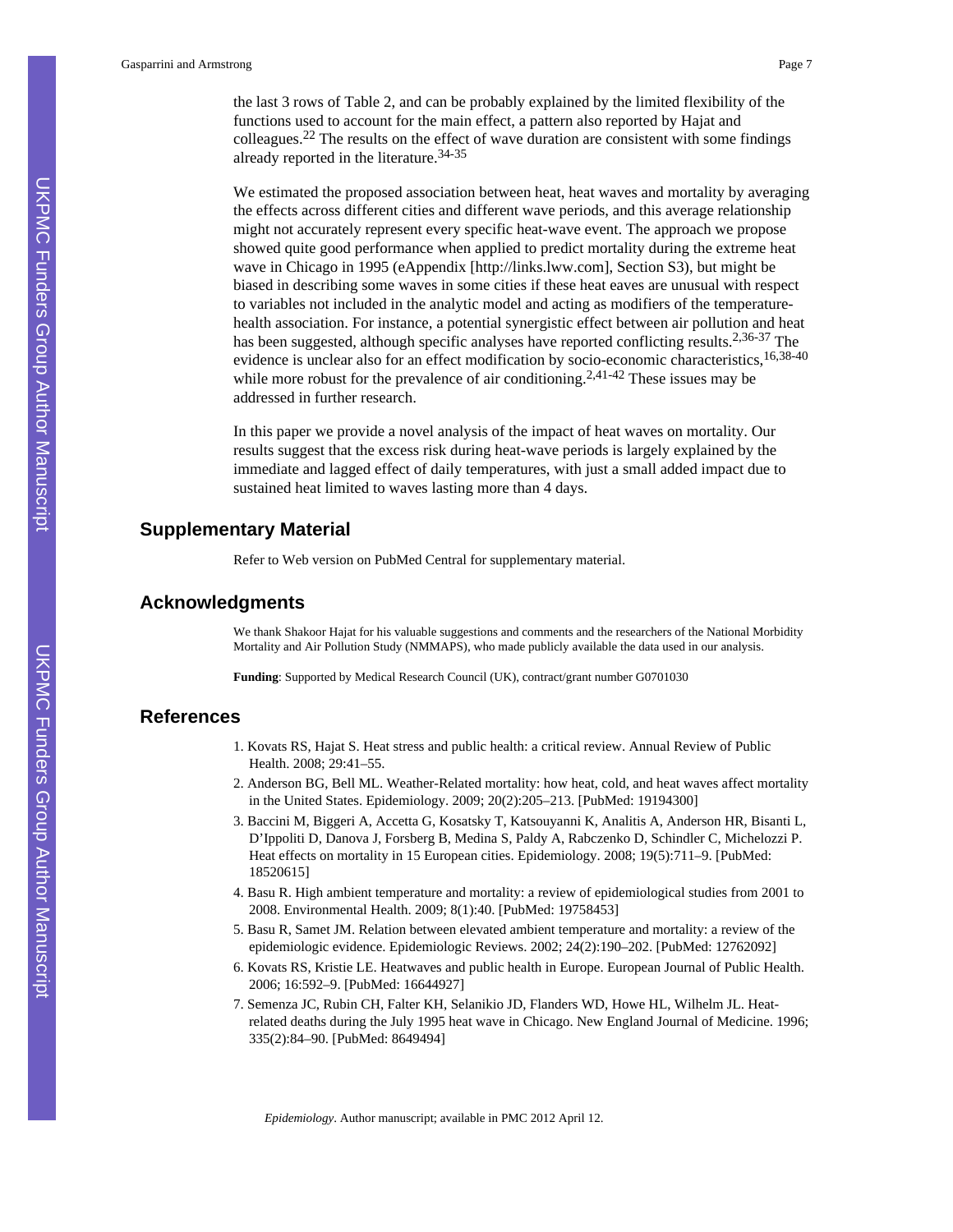the last 3 rows of Table 2, and can be probably explained by the limited flexibility of the functions used to account for the main effect, a pattern also reported by Hajat and colleagues.22 The results on the effect of wave duration are consistent with some findings already reported in the literature.34-35

We estimated the proposed association between heat, heat waves and mortality by averaging the effects across different cities and different wave periods, and this average relationship might not accurately represent every specific heat-wave event. The approach we propose showed quite good performance when applied to predict mortality during the extreme heat wave in Chicago in 1995 (eAppendix [<http://links.lww.com>], Section S3), but might be biased in describing some waves in some cities if these heat eaves are unusual with respect to variables not included in the analytic model and acting as modifiers of the temperaturehealth association. For instance, a potential synergistic effect between air pollution and heat has been suggested, although specific analyses have reported conflicting results.<sup>2,36-37</sup> The evidence is unclear also for an effect modification by socio-economic characteristics,<sup>16,38-40</sup> while more robust for the prevalence of air conditioning.<sup>2,41-42</sup> These issues may be addressed in further research.

In this paper we provide a novel analysis of the impact of heat waves on mortality. Our results suggest that the excess risk during heat-wave periods is largely explained by the immediate and lagged effect of daily temperatures, with just a small added impact due to sustained heat limited to waves lasting more than 4 days.

## **Supplementary Material**

Refer to Web version on PubMed Central for supplementary material.

## **Acknowledgments**

We thank Shakoor Hajat for his valuable suggestions and comments and the researchers of the National Morbidity Mortality and Air Pollution Study (NMMAPS), who made publicly available the data used in our analysis.

**Funding**: Supported by Medical Research Council (UK), contract/grant number G0701030

## **References**

- 1. Kovats RS, Hajat S. Heat stress and public health: a critical review. Annual Review of Public Health. 2008; 29:41–55.
- 2. Anderson BG, Bell ML. Weather-Related mortality: how heat, cold, and heat waves affect mortality in the United States. Epidemiology. 2009; 20(2):205–213. [PubMed: 19194300]
- 3. Baccini M, Biggeri A, Accetta G, Kosatsky T, Katsouyanni K, Analitis A, Anderson HR, Bisanti L, D'Ippoliti D, Danova J, Forsberg B, Medina S, Paldy A, Rabczenko D, Schindler C, Michelozzi P. Heat effects on mortality in 15 European cities. Epidemiology. 2008; 19(5):711–9. [PubMed: 18520615]
- 4. Basu R. High ambient temperature and mortality: a review of epidemiological studies from 2001 to 2008. Environmental Health. 2009; 8(1):40. [PubMed: 19758453]
- 5. Basu R, Samet JM. Relation between elevated ambient temperature and mortality: a review of the epidemiologic evidence. Epidemiologic Reviews. 2002; 24(2):190–202. [PubMed: 12762092]
- 6. Kovats RS, Kristie LE. Heatwaves and public health in Europe. European Journal of Public Health. 2006; 16:592–9. [PubMed: 16644927]
- 7. Semenza JC, Rubin CH, Falter KH, Selanikio JD, Flanders WD, Howe HL, Wilhelm JL. Heatrelated deaths during the July 1995 heat wave in Chicago. New England Journal of Medicine. 1996; 335(2):84–90. [PubMed: 8649494]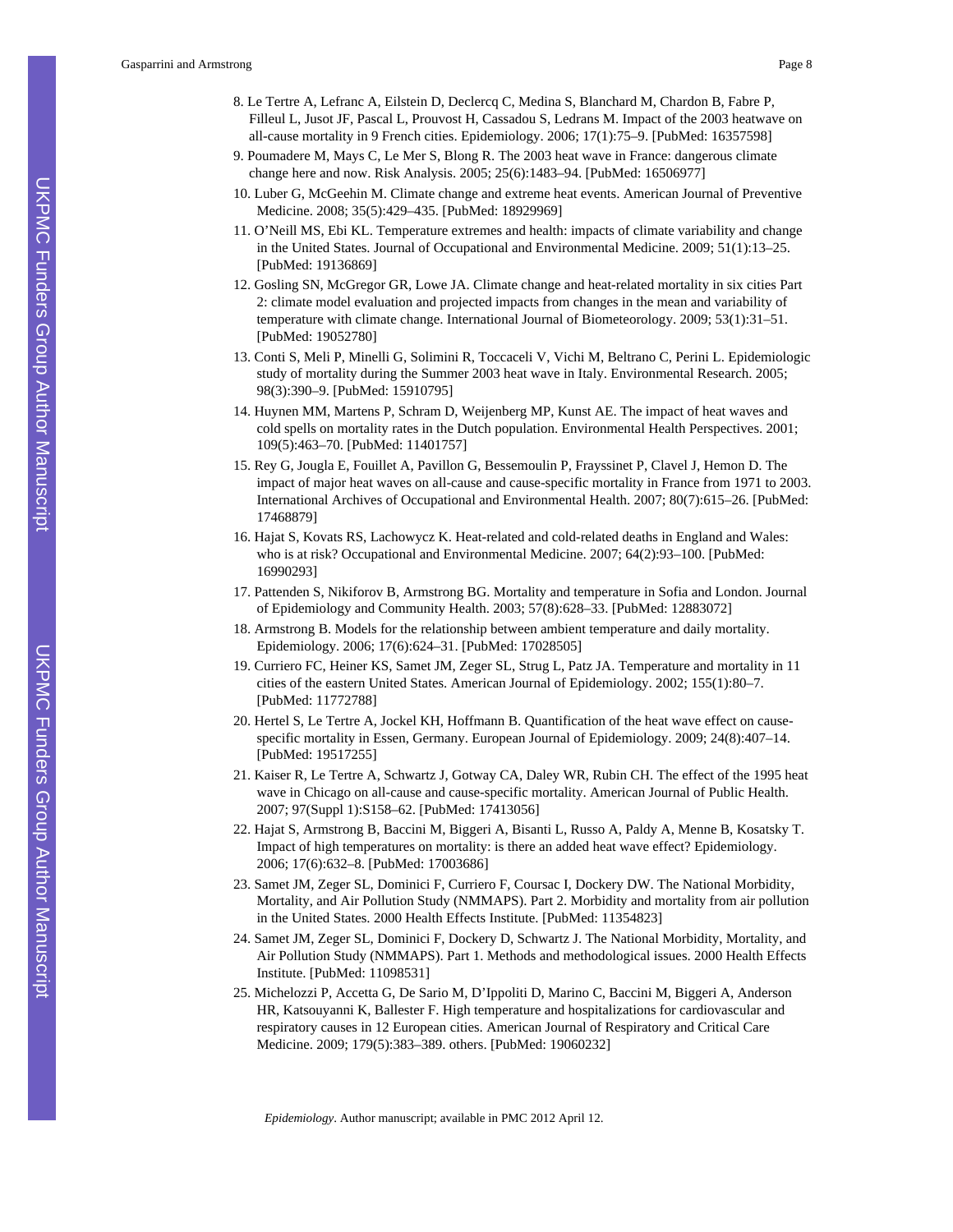- 8. Le Tertre A, Lefranc A, Eilstein D, Declercq C, Medina S, Blanchard M, Chardon B, Fabre P, Filleul L, Jusot JF, Pascal L, Prouvost H, Cassadou S, Ledrans M. Impact of the 2003 heatwave on all-cause mortality in 9 French cities. Epidemiology. 2006; 17(1):75–9. [PubMed: 16357598]
- 9. Poumadere M, Mays C, Le Mer S, Blong R. The 2003 heat wave in France: dangerous climate change here and now. Risk Analysis. 2005; 25(6):1483–94. [PubMed: 16506977]
- 10. Luber G, McGeehin M. Climate change and extreme heat events. American Journal of Preventive Medicine. 2008; 35(5):429–435. [PubMed: 18929969]
- 11. O'Neill MS, Ebi KL. Temperature extremes and health: impacts of climate variability and change in the United States. Journal of Occupational and Environmental Medicine. 2009; 51(1):13–25. [PubMed: 19136869]
- 12. Gosling SN, McGregor GR, Lowe JA. Climate change and heat-related mortality in six cities Part 2: climate model evaluation and projected impacts from changes in the mean and variability of temperature with climate change. International Journal of Biometeorology. 2009; 53(1):31–51. [PubMed: 19052780]
- 13. Conti S, Meli P, Minelli G, Solimini R, Toccaceli V, Vichi M, Beltrano C, Perini L. Epidemiologic study of mortality during the Summer 2003 heat wave in Italy. Environmental Research. 2005; 98(3):390–9. [PubMed: 15910795]
- 14. Huynen MM, Martens P, Schram D, Weijenberg MP, Kunst AE. The impact of heat waves and cold spells on mortality rates in the Dutch population. Environmental Health Perspectives. 2001; 109(5):463–70. [PubMed: 11401757]
- 15. Rey G, Jougla E, Fouillet A, Pavillon G, Bessemoulin P, Frayssinet P, Clavel J, Hemon D. The impact of major heat waves on all-cause and cause-specific mortality in France from 1971 to 2003. International Archives of Occupational and Environmental Health. 2007; 80(7):615–26. [PubMed: 17468879]
- 16. Hajat S, Kovats RS, Lachowycz K. Heat-related and cold-related deaths in England and Wales: who is at risk? Occupational and Environmental Medicine. 2007; 64(2):93–100. [PubMed: 16990293]
- 17. Pattenden S, Nikiforov B, Armstrong BG. Mortality and temperature in Sofia and London. Journal of Epidemiology and Community Health. 2003; 57(8):628–33. [PubMed: 12883072]
- 18. Armstrong B. Models for the relationship between ambient temperature and daily mortality. Epidemiology. 2006; 17(6):624–31. [PubMed: 17028505]
- 19. Curriero FC, Heiner KS, Samet JM, Zeger SL, Strug L, Patz JA. Temperature and mortality in 11 cities of the eastern United States. American Journal of Epidemiology. 2002; 155(1):80–7. [PubMed: 11772788]
- 20. Hertel S, Le Tertre A, Jockel KH, Hoffmann B. Quantification of the heat wave effect on causespecific mortality in Essen, Germany. European Journal of Epidemiology. 2009; 24(8):407–14. [PubMed: 19517255]
- 21. Kaiser R, Le Tertre A, Schwartz J, Gotway CA, Daley WR, Rubin CH. The effect of the 1995 heat wave in Chicago on all-cause and cause-specific mortality. American Journal of Public Health. 2007; 97(Suppl 1):S158–62. [PubMed: 17413056]
- 22. Hajat S, Armstrong B, Baccini M, Biggeri A, Bisanti L, Russo A, Paldy A, Menne B, Kosatsky T. Impact of high temperatures on mortality: is there an added heat wave effect? Epidemiology. 2006; 17(6):632–8. [PubMed: 17003686]
- 23. Samet JM, Zeger SL, Dominici F, Curriero F, Coursac I, Dockery DW. The National Morbidity, Mortality, and Air Pollution Study (NMMAPS). Part 2. Morbidity and mortality from air pollution in the United States. 2000 Health Effects Institute. [PubMed: 11354823]
- 24. Samet JM, Zeger SL, Dominici F, Dockery D, Schwartz J. The National Morbidity, Mortality, and Air Pollution Study (NMMAPS). Part 1. Methods and methodological issues. 2000 Health Effects Institute. [PubMed: 11098531]
- 25. Michelozzi P, Accetta G, De Sario M, D'Ippoliti D, Marino C, Baccini M, Biggeri A, Anderson HR, Katsouyanni K, Ballester F. High temperature and hospitalizations for cardiovascular and respiratory causes in 12 European cities. American Journal of Respiratory and Critical Care Medicine. 2009; 179(5):383–389. others. [PubMed: 19060232]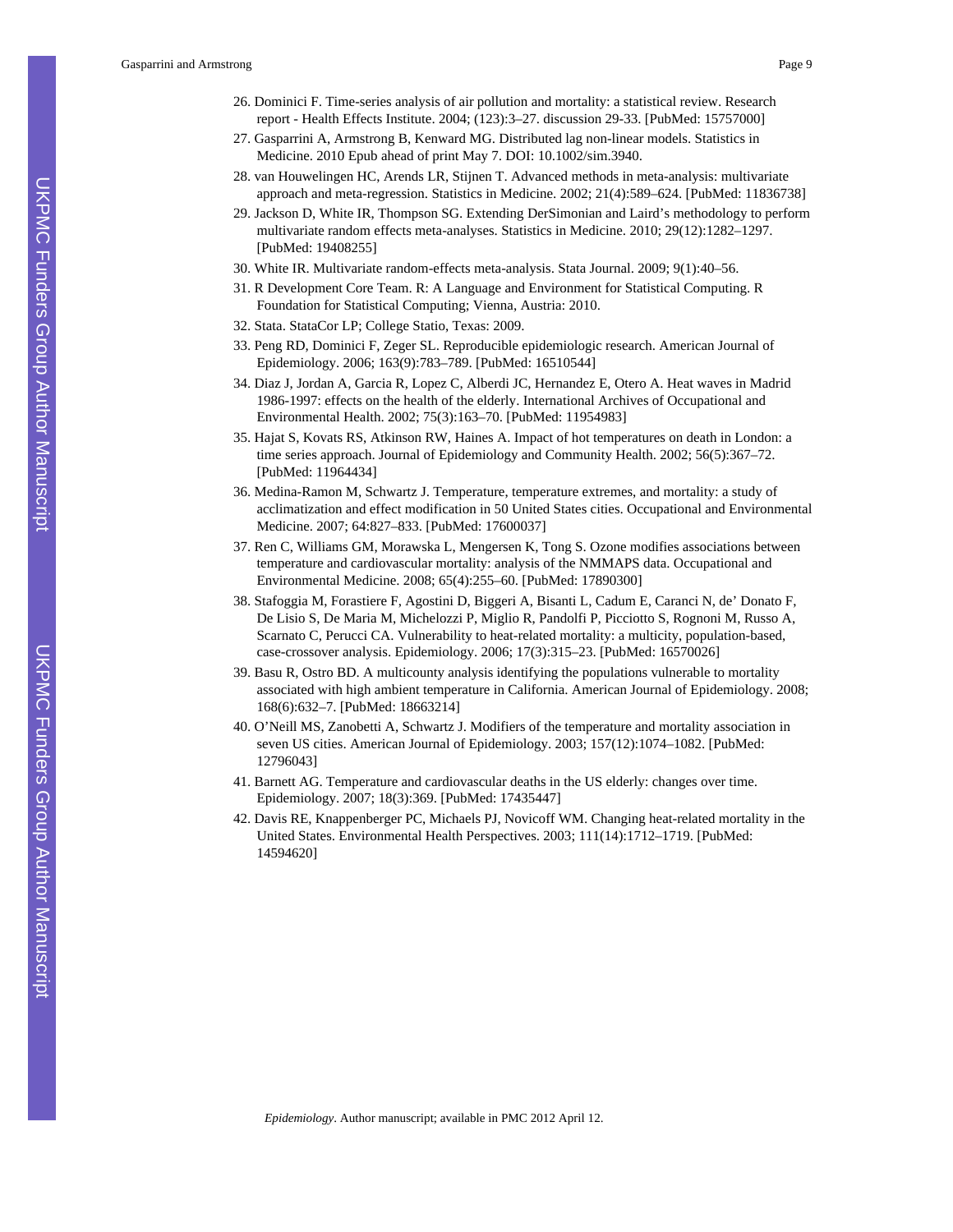Gasparrini and Armstrong Page 9

- 26. Dominici F. Time-series analysis of air pollution and mortality: a statistical review. Research report - Health Effects Institute. 2004; (123):3–27. discussion 29-33. [PubMed: 15757000]
- 27. Gasparrini A, Armstrong B, Kenward MG. Distributed lag non-linear models. Statistics in Medicine. 2010 Epub ahead of print May 7. DOI: 10.1002/sim.3940.
- 28. van Houwelingen HC, Arends LR, Stijnen T. Advanced methods in meta-analysis: multivariate approach and meta-regression. Statistics in Medicine. 2002; 21(4):589–624. [PubMed: 11836738]
- 29. Jackson D, White IR, Thompson SG. Extending DerSimonian and Laird's methodology to perform multivariate random effects meta-analyses. Statistics in Medicine. 2010; 29(12):1282–1297. [PubMed: 19408255]
- 30. White IR. Multivariate random-effects meta-analysis. Stata Journal. 2009; 9(1):40–56.
- 31. R Development Core Team. R: A Language and Environment for Statistical Computing. R Foundation for Statistical Computing; Vienna, Austria: 2010.
- 32. Stata. StataCor LP; College Statio, Texas: 2009.
- 33. Peng RD, Dominici F, Zeger SL. Reproducible epidemiologic research. American Journal of Epidemiology. 2006; 163(9):783–789. [PubMed: 16510544]
- 34. Diaz J, Jordan A, Garcia R, Lopez C, Alberdi JC, Hernandez E, Otero A. Heat waves in Madrid 1986-1997: effects on the health of the elderly. International Archives of Occupational and Environmental Health. 2002; 75(3):163–70. [PubMed: 11954983]
- 35. Hajat S, Kovats RS, Atkinson RW, Haines A. Impact of hot temperatures on death in London: a time series approach. Journal of Epidemiology and Community Health. 2002; 56(5):367–72. [PubMed: 11964434]
- 36. Medina-Ramon M, Schwartz J. Temperature, temperature extremes, and mortality: a study of acclimatization and effect modification in 50 United States cities. Occupational and Environmental Medicine. 2007; 64:827–833. [PubMed: 17600037]
- 37. Ren C, Williams GM, Morawska L, Mengersen K, Tong S. Ozone modifies associations between temperature and cardiovascular mortality: analysis of the NMMAPS data. Occupational and Environmental Medicine. 2008; 65(4):255–60. [PubMed: 17890300]
- 38. Stafoggia M, Forastiere F, Agostini D, Biggeri A, Bisanti L, Cadum E, Caranci N, de' Donato F, De Lisio S, De Maria M, Michelozzi P, Miglio R, Pandolfi P, Picciotto S, Rognoni M, Russo A, Scarnato C, Perucci CA. Vulnerability to heat-related mortality: a multicity, population-based, case-crossover analysis. Epidemiology. 2006; 17(3):315–23. [PubMed: 16570026]
- 39. Basu R, Ostro BD. A multicounty analysis identifying the populations vulnerable to mortality associated with high ambient temperature in California. American Journal of Epidemiology. 2008; 168(6):632–7. [PubMed: 18663214]
- 40. O'Neill MS, Zanobetti A, Schwartz J. Modifiers of the temperature and mortality association in seven US cities. American Journal of Epidemiology. 2003; 157(12):1074–1082. [PubMed: 12796043]
- 41. Barnett AG. Temperature and cardiovascular deaths in the US elderly: changes over time. Epidemiology. 2007; 18(3):369. [PubMed: 17435447]
- 42. Davis RE, Knappenberger PC, Michaels PJ, Novicoff WM. Changing heat-related mortality in the United States. Environmental Health Perspectives. 2003; 111(14):1712–1719. [PubMed: 14594620]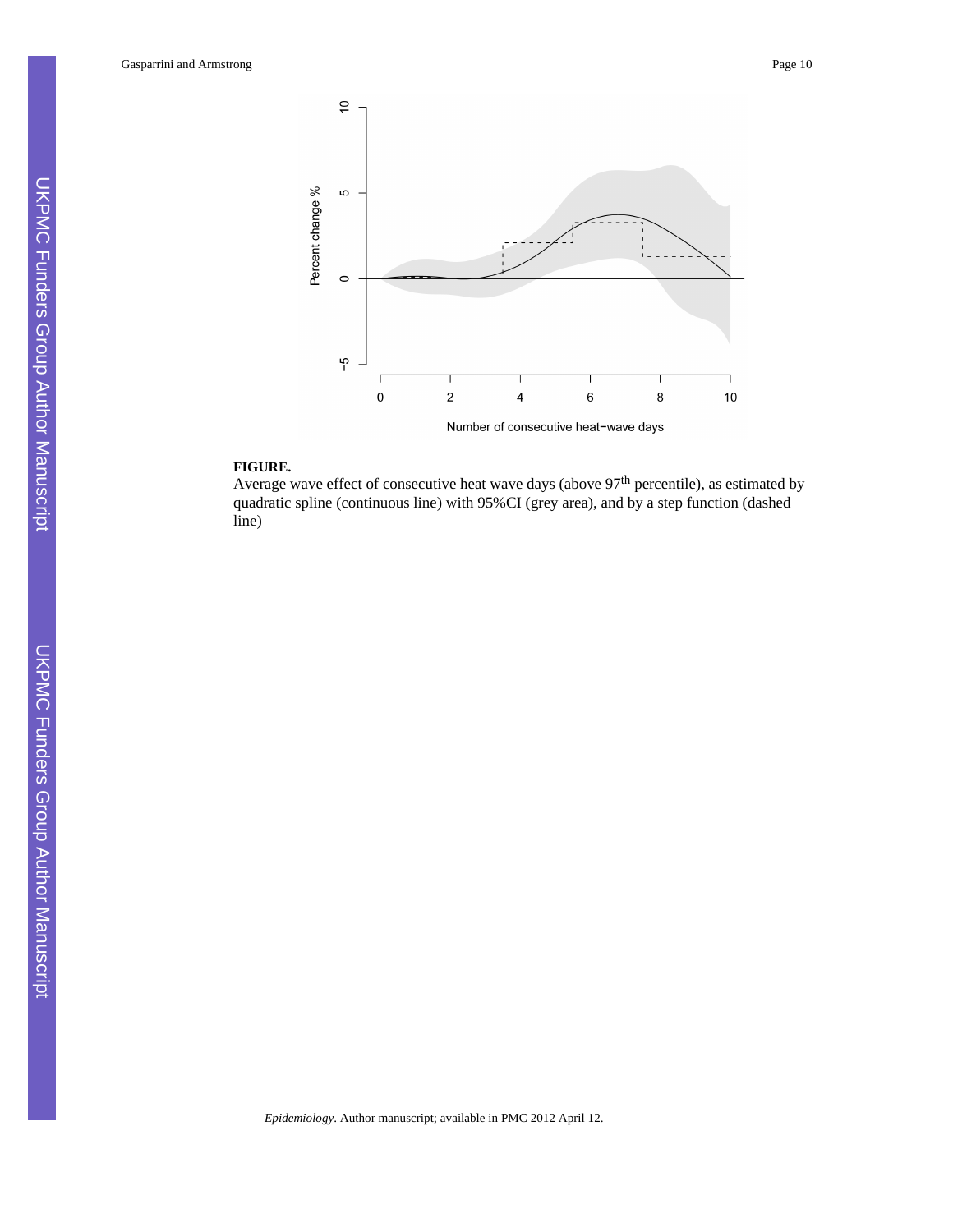Gasparrini and Armstrong Page 10



#### **FIGURE.**

Average wave effect of consecutive heat wave days (above 97<sup>th</sup> percentile), as estimated by quadratic spline (continuous line) with 95%CI (grey area), and by a step function (dashed line)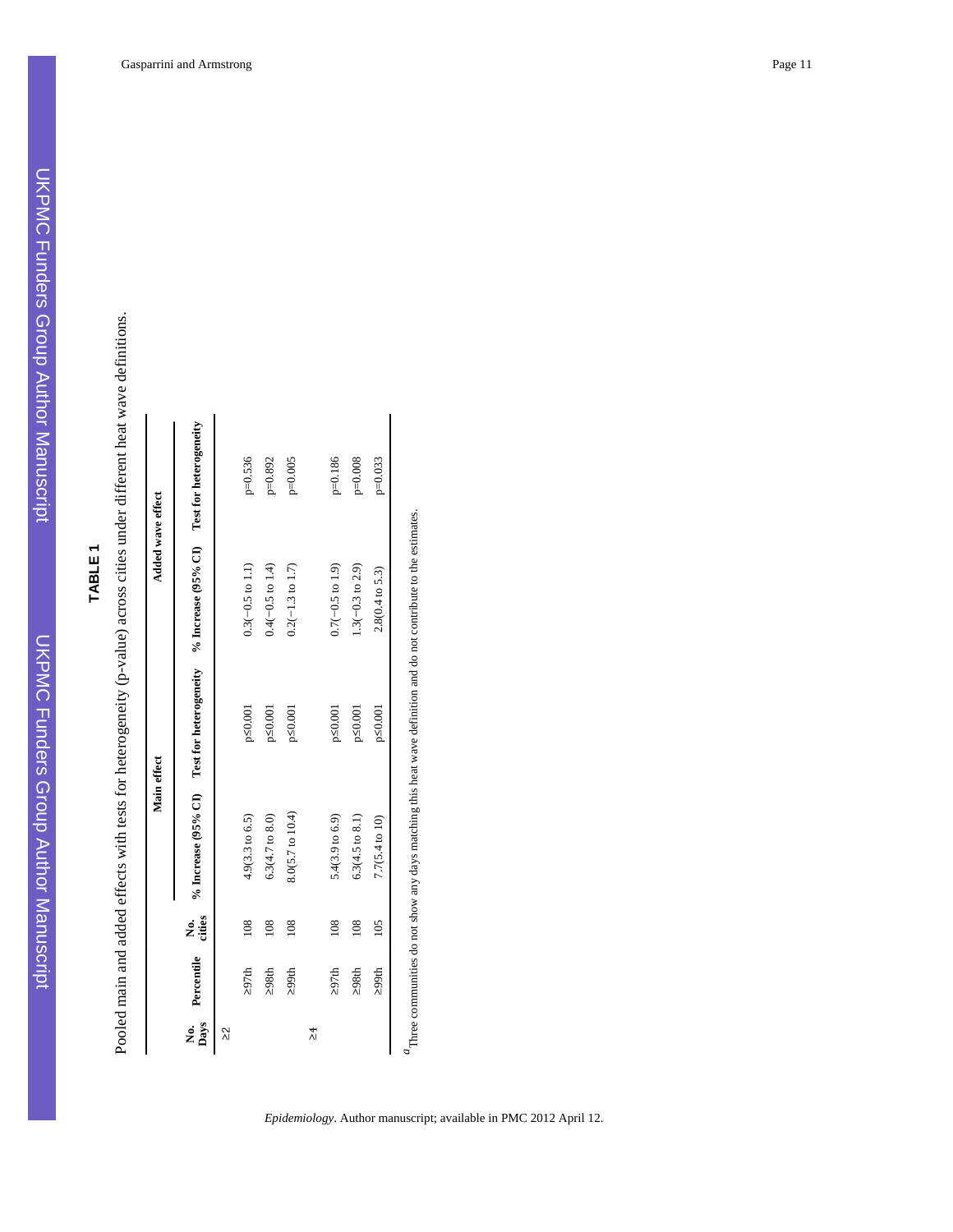UKPMC Funders Group Author Manuscript

**UKPMC Funders Group Author Manuscript** 

| <b>TABLE</b> |  |  |
|--------------|--|--|
|              |  |  |
|              |  |  |

| ţ                             |                                                |  |
|-------------------------------|------------------------------------------------|--|
|                               |                                                |  |
|                               |                                                |  |
|                               |                                                |  |
|                               |                                                |  |
|                               |                                                |  |
|                               |                                                |  |
|                               |                                                |  |
|                               |                                                |  |
|                               |                                                |  |
|                               |                                                |  |
|                               |                                                |  |
|                               |                                                |  |
|                               |                                                |  |
|                               |                                                |  |
|                               |                                                |  |
|                               |                                                |  |
|                               | ֖֖֢ׅ֪ׅׅׅ֧ׅ֪ׅ֖֪ׅ֖֚֚֚֚֚֚֚֚֚֚֚֚֚֚֚֚֚֚֚֚֚֡֕֝֝֝֝֬֝֝ |  |
|                               |                                                |  |
|                               |                                                |  |
|                               |                                                |  |
|                               |                                                |  |
|                               |                                                |  |
|                               |                                                |  |
| I                             |                                                |  |
| ļ                             |                                                |  |
|                               |                                                |  |
| j                             |                                                |  |
|                               |                                                |  |
|                               |                                                |  |
|                               |                                                |  |
|                               |                                                |  |
|                               |                                                |  |
|                               |                                                |  |
|                               |                                                |  |
|                               |                                                |  |
|                               | i                                              |  |
|                               |                                                |  |
|                               |                                                |  |
| į                             |                                                |  |
|                               |                                                |  |
|                               |                                                |  |
|                               |                                                |  |
|                               |                                                |  |
|                               |                                                |  |
| l                             |                                                |  |
| ׇ֘֒                           |                                                |  |
|                               |                                                |  |
|                               |                                                |  |
|                               |                                                |  |
|                               |                                                |  |
| l                             |                                                |  |
| $\overline{\phantom{a}}$<br>ļ | ١<br>ı                                         |  |

| 108<br>Percentile<br>297th<br>No.<br>Days<br>2) | pe.<br>cities |                            |               |                                                                                          |           |
|-------------------------------------------------|---------------|----------------------------|---------------|------------------------------------------------------------------------------------------|-----------|
|                                                 |               |                            |               | % Increase (95% CI) Test for heterogeneity $\%$ Increase (95% CI) Test for heterogeneity |           |
|                                                 |               |                            |               |                                                                                          |           |
|                                                 |               | $4.9(3.3 \text{ to } 6.5)$ | p≤0.001       | $0.3(-0.5 \text{ to } 1.1)$                                                              | $p=0.536$ |
| 108<br>298th                                    |               | 6.3(4.7 to 8.0)            | $p\leq 0.001$ | $0.4(-0.5 \text{ to } 1.4)$                                                              | $p=0.892$ |
| 108<br>299th                                    |               | 8.0(5.7 to 10.4)           | p≤0.001       | $0.2(-1.3 \text{ to } 1.7)$                                                              | $p=0.005$ |
| 치                                               |               |                            |               |                                                                                          |           |
| 108<br>297th                                    |               | 5.4(3.9 to 6.9)            | p≤0.001       | $0.7(-0.5 \text{ to } 1.9)$                                                              | p=0.186   |
| 298th                                           | 108           | $6.3(4.5 \text{ to } 8.1)$ | p≤0.001       | $1.3(-0.3 \text{ to } 2.9)$                                                              | $p=0.008$ |
| 105<br>299th                                    |               | $7.7(5.4 \text{ to } 10)$  | p≤0.001       | 2.8(0.4 to 5.3)                                                                          | $p=0.033$ |